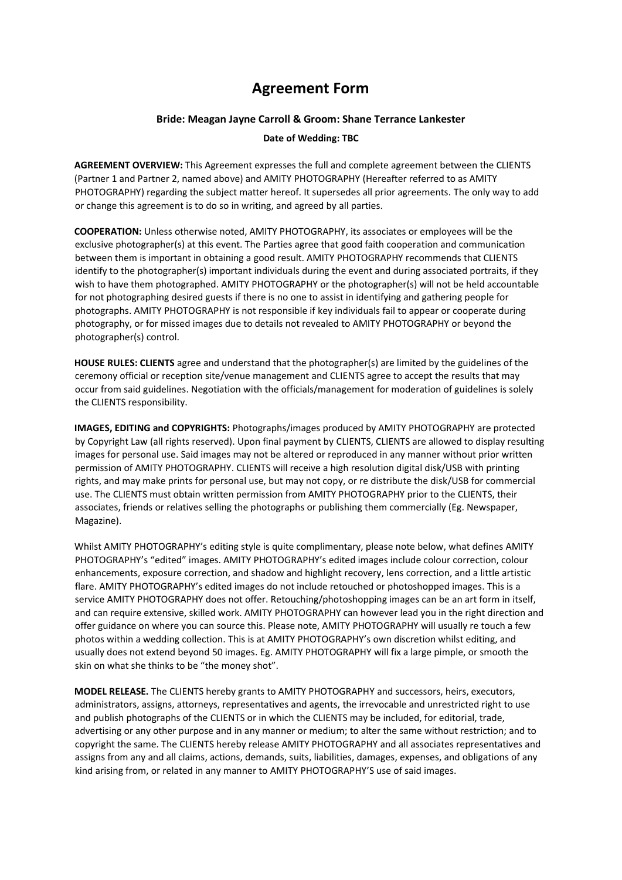## **Agreement Form**

## **Bride: Meagan Jayne Carroll & Groom: Shane Terrance Lankester**

## **Date of Wedding: TBC**

**AGREEMENT OVERVIEW:** This Agreement expresses the full and complete agreement between the CLIENTS (Partner 1 and Partner 2, named above) and AMITY PHOTOGRAPHY (Hereafter referred to as AMITY PHOTOGRAPHY) regarding the subject matter hereof. It supersedes all prior agreements. The only way to add or change this agreement is to do so in writing, and agreed by all parties.

**COOPERATION:** Unless otherwise noted, AMITY PHOTOGRAPHY, its associates or employees will be the exclusive photographer(s) at this event. The Parties agree that good faith cooperation and communication between them is important in obtaining a good result. AMITY PHOTOGRAPHY recommends that CLIENTS identify to the photographer(s) important individuals during the event and during associated portraits, if they wish to have them photographed. AMITY PHOTOGRAPHY or the photographer(s) will not be held accountable for not photographing desired guests if there is no one to assist in identifying and gathering people for photographs. AMITY PHOTOGRAPHY is not responsible if key individuals fail to appear or cooperate during photography, or for missed images due to details not revealed to AMITY PHOTOGRAPHY or beyond the photographer(s) control.

**HOUSE RULES: CLIENTS** agree and understand that the photographer(s) are limited by the guidelines of the ceremony official or reception site/venue management and CLIENTS agree to accept the results that may occur from said guidelines. Negotiation with the officials/management for moderation of guidelines is solely the CLIENTS responsibility.

**IMAGES, EDITING and COPYRIGHTS:** Photographs/images produced by AMITY PHOTOGRAPHY are protected by Copyright Law (all rights reserved). Upon final payment by CLIENTS, CLIENTS are allowed to display resulting images for personal use. Said images may not be altered or reproduced in any manner without prior written permission of AMITY PHOTOGRAPHY. CLIENTS will receive a high resolution digital disk/USB with printing rights, and may make prints for personal use, but may not copy, or re distribute the disk/USB for commercial use. The CLIENTS must obtain written permission from AMITY PHOTOGRAPHY prior to the CLIENTS, their associates, friends or relatives selling the photographs or publishing them commercially (Eg. Newspaper, Magazine).

Whilst AMITY PHOTOGRAPHY's editing style is quite complimentary, please note below, what defines AMITY PHOTOGRAPHY's "edited" images. AMITY PHOTOGRAPHY's edited images include colour correction, colour enhancements, exposure correction, and shadow and highlight recovery, lens correction, and a little artistic flare. AMITY PHOTOGRAPHY's edited images do not include retouched or photoshopped images. This is a service AMITY PHOTOGRAPHY does not offer. Retouching/photoshopping images can be an art form in itself, and can require extensive, skilled work. AMITY PHOTOGRAPHY can however lead you in the right direction and offer guidance on where you can source this. Please note, AMITY PHOTOGRAPHY will usually re touch a few photos within a wedding collection. This is at AMITY PHOTOGRAPHY's own discretion whilst editing, and usually does not extend beyond 50 images. Eg. AMITY PHOTOGRAPHY will fix a large pimple, or smooth the skin on what she thinks to be "the money shot".

**MODEL RELEASE.** The CLIENTS hereby grants to AMITY PHOTOGRAPHY and successors, heirs, executors, administrators, assigns, attorneys, representatives and agents, the irrevocable and unrestricted right to use and publish photographs of the CLIENTS or in which the CLIENTS may be included, for editorial, trade, advertising or any other purpose and in any manner or medium; to alter the same without restriction; and to copyright the same. The CLIENTS hereby release AMITY PHOTOGRAPHY and all associates representatives and assigns from any and all claims, actions, demands, suits, liabilities, damages, expenses, and obligations of any kind arising from, or related in any manner to AMITY PHOTOGRAPHY'S use of said images.